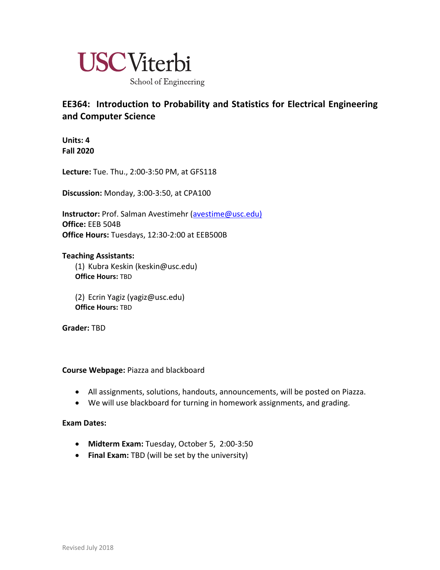

# **EE364: Introduction to Probability and Statistics for Electrical Engineering and Computer Science**

**Units: 4 Fall 2020**

**Lecture:** Tue. Thu., 2:00-3:50 PM, at GFS118

**Discussion:** Monday, 3:00-3:50, at CPA100

**Instructor:** Prof. Salman Avestimehr (avestime@usc.edu) **Office:** EEB 504B **Office Hours:** Tuesdays, 12:30-2:00 at EEB500B

## **Teaching Assistants:**

(1) Kubra Keskin (keskin@usc.edu) **Office Hours:** TBD

(2) Ecrin Yagiz (yagiz@usc.edu) **Office Hours:** TBD

**Grader:** TBD

# **Course Webpage:** Piazza and blackboard

- All assignments, solutions, handouts, announcements, will be posted on Piazza.
- We will use blackboard for turning in homework assignments, and grading.

# **Exam Dates:**

- **Midterm Exam:** Tuesday, October 5, 2:00-3:50
- **Final Exam:** TBD (will be set by the university)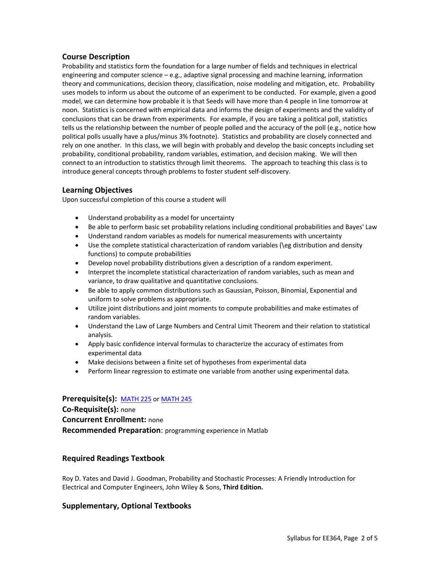#### **Course Description**

Probability and statistics form the foundation for a large number of fields and techniques in electrical engineering and computer science – e.g., adaptive signal processing and machine learning, information theory and communications, decision theory, classification, noise modeling and mitigation, etc. Probability uses models to inform us about the outcome of an experiment to be conducted. For example, given a good model, we can determine how probable it is that Seeds will have more than 4 people in line tomorrow at noon. Statistics is concerned with empirical data and informs the design of experiments and the validity of conclusions that can be drawn from experiments. For example, if you are taking a political poll, statistics tells us the relationship between the number of people polled and the accuracy of the poll (e.g., notice how political polls usually have a plus/minus 3% footnote). Statistics and probability are closely connected and rely on one another. In this class, we will begin with probably and develop the basic concepts including set probability, conditional probability, random variables, estimation, and decision making. We will then connect to an introduction to statistics through limit theorems. The approach to teaching this class is to introduce general concepts through problems to foster student self-discovery.

#### **Learning Objectives**

Upon successful completion of this course a student will

- Understand probability as a model for uncertainty
- Be able to perform basic set probability relations including conditional probabilities and Bayes' Law
- Understand random variables as models for numerical measurements with uncertainty
- Use the complete statistical characterization of random variables (\eg distribution and density functions) to compute probabilities
- Develop novel probability distributions given a description of a random experiment.
- Interpret the incomplete statistical characterization of random variables, such as mean and variance, to draw qualitative and quantitative conclusions.
- Be able to apply common distributions such as Gaussian, Poisson, Binomial, Exponential and uniform to solve problems as appropriate.
- Utilize joint distributions and joint moments to compute probabilities and make estimates of random variables.
- Understand the Law of Large Numbers and Central Limit Theorem and their relation to statistical analysis.
- Apply basic confidence interval formulas to characterize the accuracy of estimates from experimental data
- Make decisions between a finite set of hypotheses from experimental data
- Perform linear regression to estimate one variable from another using experimental data.

**Prerequisite(s):** MATH 225 or MATH 245 **Co-Requisite(s):** none **Concurrent Enrollment:** none **Recommended Preparation**: programming experience in Matlab

#### **Required Readings Textbook**

Roy D. Yates and David J. Goodman, Probability and Stochastic Processes: A Friendly Introduction for Electrical and Computer Engineers, John Wiley & Sons, **Third Edition.**

#### **Supplementary, Optional Textbooks**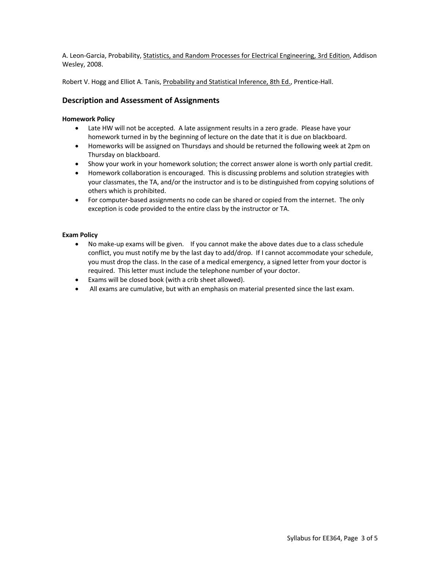A. Leon-Garcia, Probability, Statistics, and Random Processes for Electrical Engineering, 3rd Edition, Addison Wesley, 2008.

Robert V. Hogg and Elliot A. Tanis, Probability and Statistical Inference, 8th Ed., Prentice-Hall.

## **Description and Assessment of Assignments**

#### **Homework Policy**

- Late HW will not be accepted. A late assignment results in a zero grade. Please have your homework turned in by the beginning of lecture on the date that it is due on blackboard.
- Homeworks will be assigned on Thursdays and should be returned the following week at 2pm on Thursday on blackboard.
- Show your work in your homework solution; the correct answer alone is worth only partial credit.
- Homework collaboration is encouraged. This is discussing problems and solution strategies with your classmates, the TA, and/or the instructor and is to be distinguished from copying solutions of others which is prohibited.
- For computer-based assignments no code can be shared or copied from the internet. The only exception is code provided to the entire class by the instructor or TA.

#### **Exam Policy**

- No make-up exams will be given. If you cannot make the above dates due to a class schedule conflict, you must notify me by the last day to add/drop. If I cannot accommodate your schedule, you must drop the class. In the case of a medical emergency, a signed letter from your doctor is required. This letter must include the telephone number of your doctor.
- Exams will be closed book (with a crib sheet allowed).
- All exams are cumulative, but with an emphasis on material presented since the last exam.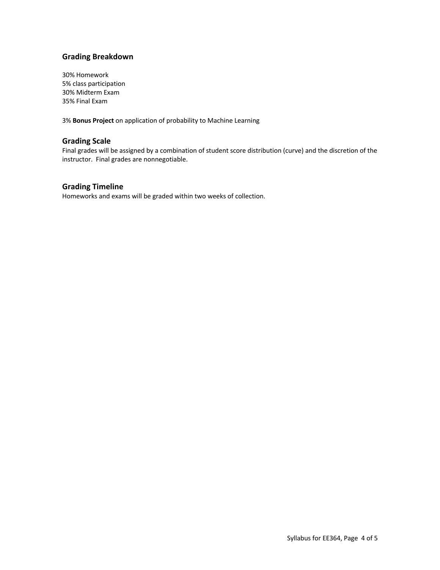# **Grading Breakdown**

30% Homework 5% class participation 30% Midterm Exam 35% Final Exam

3% **Bonus Project** on application of probability to Machine Learning

#### **Grading Scale**

Final grades will be assigned by a combination of student score distribution (curve) and the discretion of the instructor. Final grades are nonnegotiable.

## **Grading Timeline**

Homeworks and exams will be graded within two weeks of collection.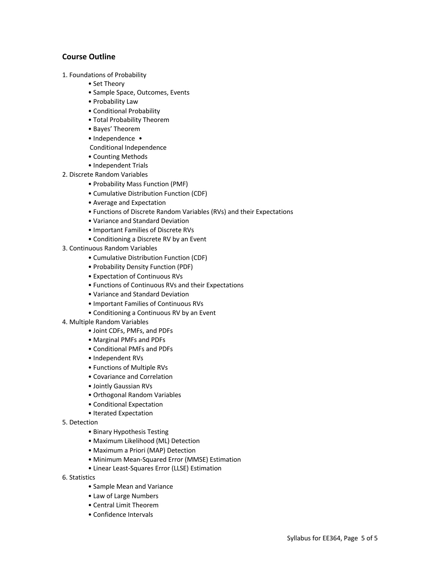#### **Course Outline**

- 1. Foundations of Probability
	- Set Theory
	- Sample Space, Outcomes, Events
	- Probability Law
	- Conditional Probability
	- Total Probability Theorem
	- Bayes' Theorem
	- Independence •
	- Conditional Independence
	- Counting Methods
	- Independent Trials
- 2. Discrete Random Variables
	- Probability Mass Function (PMF)
	- Cumulative Distribution Function (CDF)
	- Average and Expectation
	- Functions of Discrete Random Variables (RVs) and their Expectations
	- Variance and Standard Deviation
	- Important Families of Discrete RVs
	- Conditioning a Discrete RV by an Event
- 3. Continuous Random Variables
	- Cumulative Distribution Function (CDF)
	- Probability Density Function (PDF)
	- Expectation of Continuous RVs
	- Functions of Continuous RVs and their Expectations
	- Variance and Standard Deviation
	- Important Families of Continuous RVs
	- Conditioning a Continuous RV by an Event
- 4. Multiple Random Variables
	- Joint CDFs, PMFs, and PDFs
	- Marginal PMFs and PDFs
	- Conditional PMFs and PDFs
	- Independent RVs
	- Functions of Multiple RVs
	- Covariance and Correlation
	- Jointly Gaussian RVs
	- Orthogonal Random Variables
	- Conditional Expectation
	- Iterated Expectation
- 5. Detection
	- Binary Hypothesis Testing
	- Maximum Likelihood (ML) Detection
	- Maximum a Priori (MAP) Detection
	- Minimum Mean-Squared Error (MMSE) Estimation
	- Linear Least-Squares Error (LLSE) Estimation
- 6. Statistics
	- Sample Mean and Variance
	- Law of Large Numbers
	- Central Limit Theorem
	- Confidence Intervals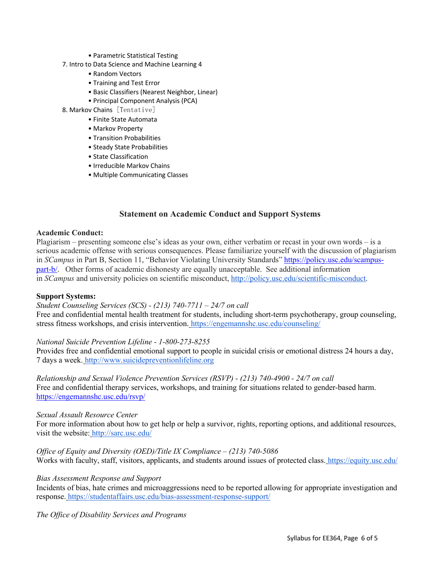- Parametric Statistical Testing
- 7. Intro to Data Science and Machine Learning 4
	- Random Vectors
	- Training and Test Error
	- Basic Classifiers (Nearest Neighbor, Linear)
	- Principal Component Analysis (PCA)
- 8. Markov Chains [Tentative]
	- Finite State Automata
	- Markov Property
	- Transition Probabilities
	- Steady State Probabilities
	- State Classification
	- Irreducible Markov Chains
	- Multiple Communicating Classes

# **Statement on Academic Conduct and Support Systems**

#### **Academic Conduct:**

Plagiarism – presenting someone else's ideas as your own, either verbatim or recast in your own words – is a serious academic offense with serious consequences. Please familiarize yourself with the discussion of plagiarism in *SCampus* in Part B, Section 11, "Behavior Violating University Standards" https://policy.usc.edu/scampuspart-b/. Other forms of academic dishonesty are equally unacceptable. See additional information in *SCampus* and university policies on scientific misconduct, http://policy.usc.edu/scientific-misconduct.

#### **Support Systems:**

#### *Student Counseling Services (SCS) - (213) 740-7711 – 24/7 on call*

Free and confidential mental health treatment for students, including short-term psychotherapy, group counseling, stress fitness workshops, and crisis intervention. https://engemannshc.usc.edu/counseling/

#### *National Suicide Prevention Lifeline - 1-800-273-8255*

Provides free and confidential emotional support to people in suicidal crisis or emotional distress 24 hours a day, 7 days a week. http://www.suicidepreventionlifeline.org

*Relationship and Sexual Violence Prevention Services (RSVP) - (213) 740-4900 - 24/7 on call* Free and confidential therapy services, workshops, and training for situations related to gender-based harm. https://engemannshc.usc.edu/rsvp/

#### *Sexual Assault Resource Center*

For more information about how to get help or help a survivor, rights, reporting options, and additional resources, visit the website: http://sarc.usc.edu/

*Office of Equity and Diversity (OED)/Title IX Compliance – (213) 740-5086* Works with faculty, staff, visitors, applicants, and students around issues of protected class. https://equity.usc.edu/

#### *Bias Assessment Response and Support*

Incidents of bias, hate crimes and microaggressions need to be reported allowing for appropriate investigation and response. https://studentaffairs.usc.edu/bias-assessment-response-support/

*The Office of Disability Services and Programs*